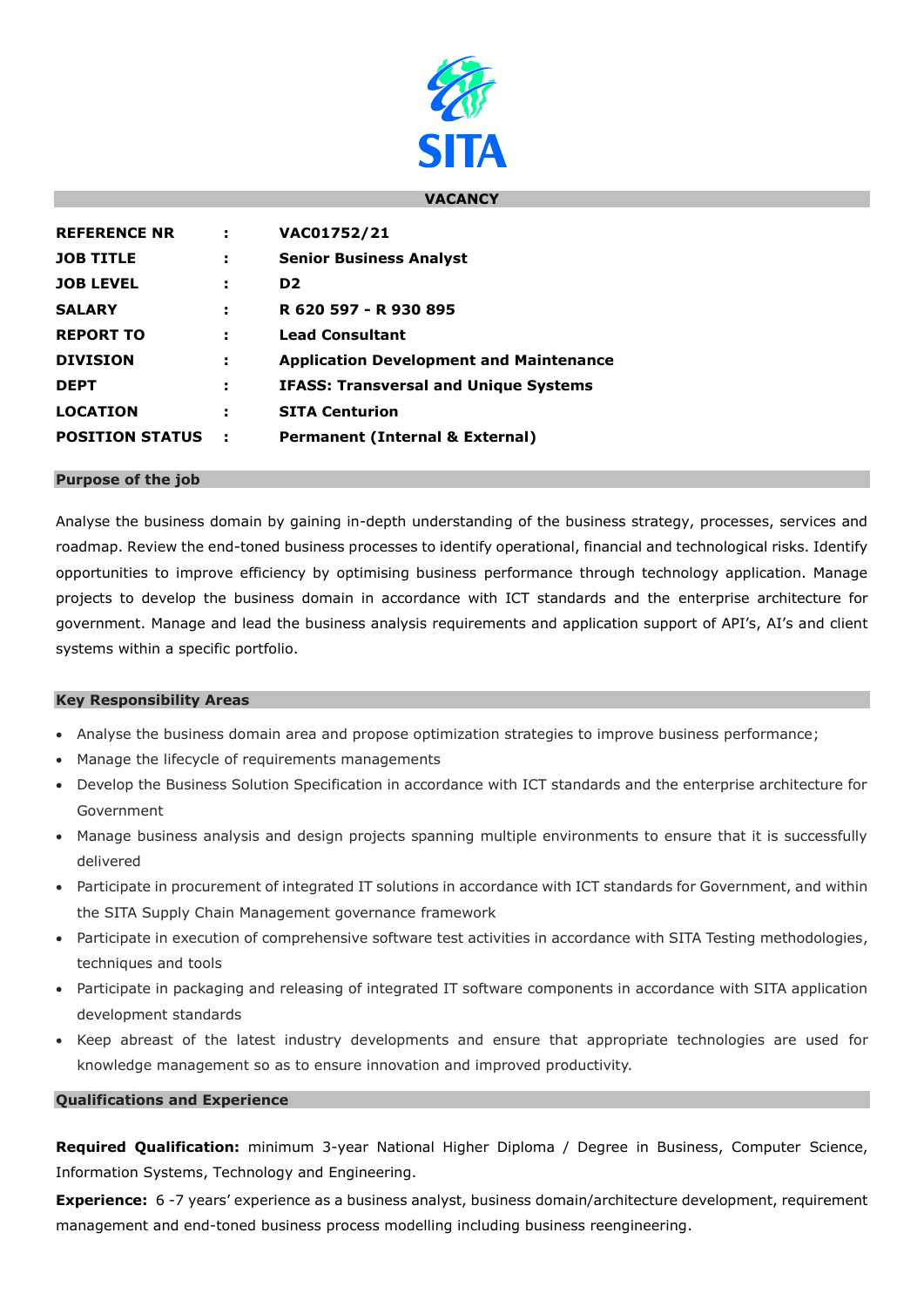

## **VACANCY**

| <b>REFERENCE NR</b>    | ÷   | VAC01752/21                                    |
|------------------------|-----|------------------------------------------------|
| <b>JOB TITLE</b>       | ÷   | <b>Senior Business Analyst</b>                 |
| <b>JOB LEVEL</b>       | ÷   | D <sub>2</sub>                                 |
| <b>SALARY</b>          | ÷   | R 620 597 - R 930 895                          |
| <b>REPORT TO</b>       | ÷   | <b>Lead Consultant</b>                         |
| <b>DIVISION</b>        | н   | <b>Application Development and Maintenance</b> |
| <b>DEPT</b>            | н   | <b>IFASS: Transversal and Unique Systems</b>   |
| <b>LOCATION</b>        | ÷   | <b>SITA Centurion</b>                          |
| <b>POSITION STATUS</b> | - 2 | <b>Permanent (Internal &amp; External)</b>     |

### **Purpose of the job**

Analyse the business domain by gaining in-depth understanding of the business strategy, processes, services and roadmap. Review the end-toned business processes to identify operational, financial and technological risks. Identify opportunities to improve efficiency by optimising business performance through technology application. Manage projects to develop the business domain in accordance with ICT standards and the enterprise architecture for government. Manage and lead the business analysis requirements and application support of API's, AI's and client systems within a specific portfolio.

## **Key Responsibility Areas**

- Analyse the business domain area and propose optimization strategies to improve business performance;
- Manage the lifecycle of requirements managements
- Develop the Business Solution Specification in accordance with ICT standards and the enterprise architecture for Government
- Manage business analysis and design projects spanning multiple environments to ensure that it is successfully delivered
- Participate in procurement of integrated IT solutions in accordance with ICT standards for Government, and within the SITA Supply Chain Management governance framework
- Participate in execution of comprehensive software test activities in accordance with SITA Testing methodologies, techniques and tools
- Participate in packaging and releasing of integrated IT software components in accordance with SITA application development standards
- Keep abreast of the latest industry developments and ensure that appropriate technologies are used for knowledge management so as to ensure innovation and improved productivity.

# **Qualifications and Experience**

**Required Qualification:** minimum 3-year National Higher Diploma / Degree in Business, Computer Science, Information Systems, Technology and Engineering.

**Experience:** 6 -7 years' experience as a business analyst, business domain/architecture development, requirement management and end-toned business process modelling including business reengineering.